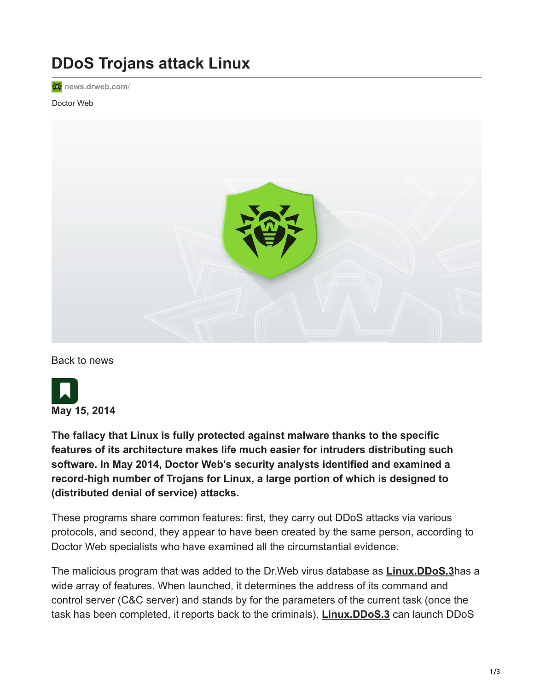## **DDoS Trojans attack Linux**

**<sub>诊</sub>** [news.drweb.com](https://news.drweb.com/?i=5760&c=23&lng=en)/

## Doctor Web



[Back to news](https://news.drweb.com/list/?p=0&lng=en&c=23)



**The fallacy that Linux is fully protected against malware thanks to the specific features of its architecture makes life much easier for intruders distributing such software. In May 2014, Doctor Web's security analysts identified and examined a record-high number of Trojans for Linux, a large portion of which is designed to (distributed denial of service) attacks.**

These programs share common features: first, they carry out DDoS attacks via various protocols, and second, they appear to have been created by the same person, according to Doctor Web specialists who have examined all the circumstantial evidence.

The malicious program that was added to the Dr.Web virus database as **[Linux.DDoS.3](https://vms.drweb.com/search/?q=Linux.DDoS.3&lng=en)**has a wide array of features. When launched, it determines the address of its command and control server (C&C server) and stands by for the parameters of the current task (once the task has been completed, it reports back to the criminals). **[Linux.DDoS.3](https://vms.drweb.com/search/?q=Linux.DDoS.3&lng=en)** can launch DDoS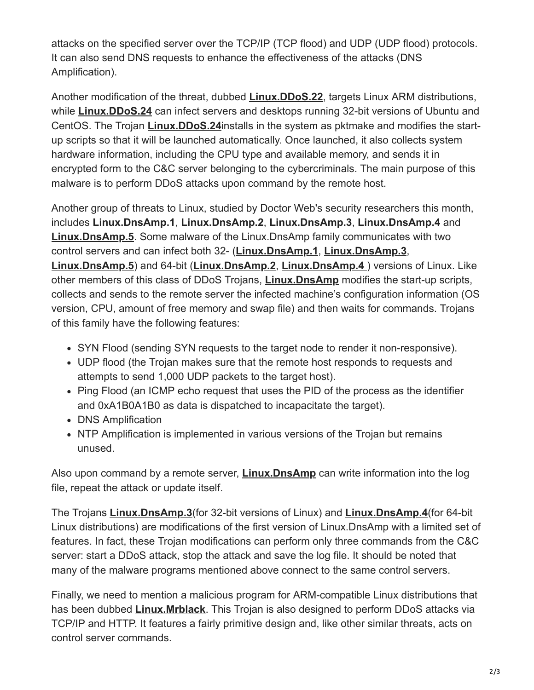attacks on the specified server over the TCP/IP (TCP flood) and UDP (UDP flood) protocols. It can also send DNS requests to enhance the effectiveness of the attacks (DNS Amplification).

Another modification of the threat, dubbed **[Linux.DDoS.22](https://vms.drweb.com/search/?q=Linux.DDoS.22&lng=en)**, targets Linux ARM distributions, while **[Linux.DDoS.24](https://vms.drweb.com/search/?q=Linux.DDoS.24&lng=en)** can infect servers and desktops running 32-bit versions of Ubuntu and CentOS. The Trojan **[Linux.DDoS.24](https://vms.drweb.com/search/?q=Linux.DDoS.24&lng=en)**installs in the system as pktmake and modifies the startup scripts so that it will be launched automatically. Once launched, it also collects system hardware information, including the CPU type and available memory, and sends it in encrypted form to the C&C server belonging to the cybercriminals. The main purpose of this malware is to perform DDoS attacks upon command by the remote host.

Another group of threats to Linux, studied by Doctor Web's security researchers this month, includes **[Linux.DnsAmp.1](https://vms.drweb.com/search/?q=Linux.DnsAmp.1&lng=en)**, **[Linux.DnsAmp.2](https://vms.drweb.com/search/?q=Linux.DnsAmp.2&lng=en)**, **[Linux.DnsAmp.3](https://vms.drweb.com/search/?q=Linux.DnsAmp.3&lng=en)**, **[Linux.DnsAmp.4](https://vms.drweb.com/search/?q=Linux.DnsAmp.4&lng=en)** and **[Linux.DnsAmp.5](https://vms.drweb.com/search/?q=Linux.DnsAmp.5&lng=en)**. Some malware of the Linux.DnsAmp family communicates with two control servers and can infect both 32- (**[Linux.DnsAmp.1](https://vms.drweb.com/search/?q=Linux.DnsAmp.1&lng=en)**, **[Linux.DnsAmp.3](https://vms.drweb.com/search/?q=Linux.DnsAmp.3&lng=en)**, **[Linux.DnsAmp.5](https://vms.drweb.com/search/?q=Linux.DnsAmp.5&lng=en)**) and 64-bit (**[Linux.DnsAmp.2](https://vms.drweb.com/search/?q=Linux.DnsAmp.2&lng=en)**, **[Linux.DnsAmp.4](https://vms.drweb.com/search/?q=Linux.DnsAmp.4%20&lng=en)** ) versions of Linux. Like other members of this class of DDoS Trojans, **[Linux.DnsAmp](https://vms.drweb.com/search/?q=Linux.DnsAmp&lng=en)** modifies the start-up scripts, collects and sends to the remote server the infected machine's configuration information (OS version, CPU, amount of free memory and swap file) and then waits for commands. Trojans of this family have the following features:

- SYN Flood (sending SYN requests to the target node to render it non-responsive).
- UDP flood (the Trojan makes sure that the remote host responds to requests and attempts to send 1,000 UDP packets to the target host).
- Ping Flood (an ICMP echo request that uses the PID of the process as the identifier and 0xA1B0A1B0 as data is dispatched to incapacitate the target).
- DNS Amplification
- NTP Amplification is implemented in various versions of the Trojan but remains unused.

Also upon command by a remote server, **[Linux.DnsAmp](https://vms.drweb.com/search/?q=Linux.DnsAmp&lng=en)** can write information into the log file, repeat the attack or update itself.

The Trojans **[Linux.DnsAmp.3](https://vms.drweb.com/search/?q=Linux.DnsAmp.3&lng=en)**(for 32-bit versions of Linux) and **[Linux.DnsAmp.4](https://vms.drweb.com/search/?q=Linux.DnsAmp.4&lng=en)**(for 64-bit Linux distributions) are modifications of the first version of Linux.DnsAmp with a limited set of features. In fact, these Trojan modifications can perform only three commands from the C&C server: start a DDoS attack, stop the attack and save the log file. It should be noted that many of the malware programs mentioned above connect to the same control servers.

Finally, we need to mention a malicious program for ARM-compatible Linux distributions that has been dubbed **[Linux.Mrblack](https://vms.drweb.com/search/?q=Linux.Mrblack&lng=en)**. This Trojan is also designed to perform DDoS attacks via TCP/IP and HTTP. It features a fairly primitive design and, like other similar threats, acts on control server commands.